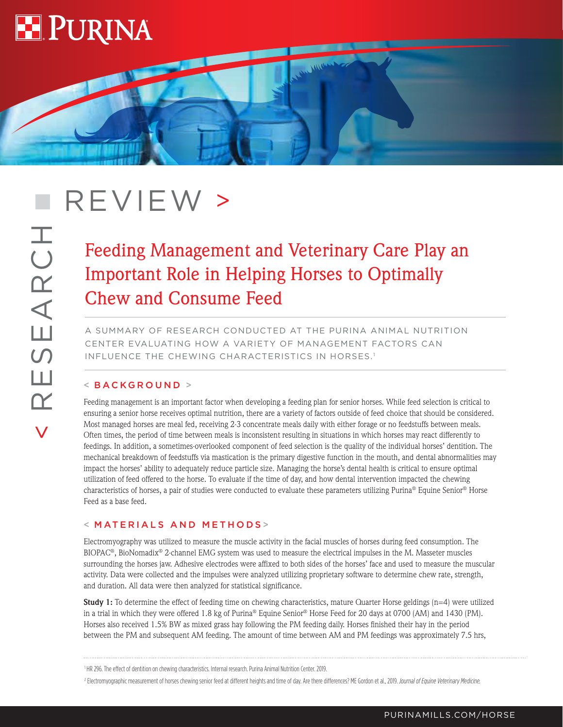

< RESEARCH

Ш

 $\overline{\mathbf{K}}$ 

SEARCH

# **REVIEW** >

# Feeding Management and Veterinary Care Play an Important Role in Helping Horses to Optimally Chew and Consume Feed

**COMMON** 

A SUMMARY OF RESEARCH CONDUCTED AT THE PURINA ANIMAL NUTRITION CENTER EVALUATING HOW A VARIETY OF MANAGEMENT FACTORS CAN INFLUENCE THE CHEWING CHARACTERISTICS IN HORSES.1

## < BACKGROUND >

Feeding management is an important factor when developing a feeding plan for senior horses. While feed selection is critical to ensuring a senior horse receives optimal nutrition, there are a variety of factors outside of feed choice that should be considered. Most managed horses are meal fed, receiving 2-3 concentrate meals daily with either forage or no feedstuffs between meals. Often times, the period of time between meals is inconsistent resulting in situations in which horses may react differently to feedings. In addition, a sometimes-overlooked component of feed selection is the quality of the individual horses' dentition. The mechanical breakdown of feedstuffs via mastication is the primary digestive function in the mouth, and dental abnormalities may impact the horses' ability to adequately reduce particle size. Managing the horse's dental health is critical to ensure optimal utilization of feed offered to the horse. To evaluate if the time of day, and how dental intervention impacted the chewing characteristics of horses, a pair of studies were conducted to evaluate these parameters utilizing Purina® Equine Senior® Horse Feed as a base feed.

# < MATERIALS AND METHODS >

Electromyography was utilized to measure the muscle activity in the facial muscles of horses during feed consumption. The BIOPAC®, BioNomadix® 2-channel EMG system was used to measure the electrical impulses in the M. Masseter muscles surrounding the horses jaw. Adhesive electrodes were affixed to both sides of the horses' face and used to measure the muscular activity. Data were collected and the impulses were analyzed utilizing proprietary software to determine chew rate, strength, and duration. All data were then analyzed for statistical significance.

**Study 1:** To determine the effect of feeding time on chewing characteristics, mature Quarter Horse geldings (n=4) were utilized in a trial in which they were offered 1.8 kg of Purina® Equine Senior® Horse Feed for 20 days at 0700 (AM) and 1430 (PM). Horses also received 1.5% BW as mixed grass hay following the PM feeding daily. Horses finished their hay in the period between the PM and subsequent AM feeding. The amount of time between AM and PM feedings was approximately 7.5 hrs,

<sup>1</sup> HR 296. The effect of dentition on chewing characteristics. Internal research. Purina Animal Nutrition Center. 2019.

<sup>&</sup>lt;sup>2</sup> Electromyographic measurement of horses chewing senior feed at different heights and time of day. Are there differences? ME Gordon et al., 2019. Journal of Equine Veterinary Medicine.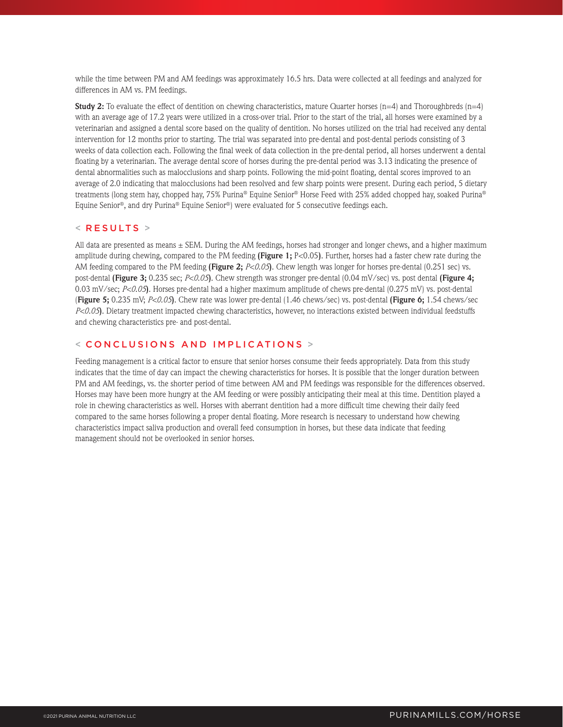while the time between PM and AM feedings was approximately 16.5 hrs. Data were collected at all feedings and analyzed for differences in AM vs. PM feedings.

**Study 2:** To evaluate the effect of dentition on chewing characteristics, mature Quarter horses  $(n=4)$  and Thoroughbreds  $(n=4)$ with an average age of 17.2 years were utilized in a cross-over trial. Prior to the start of the trial, all horses were examined by a veterinarian and assigned a dental score based on the quality of dentition. No horses utilized on the trial had received any dental intervention for 12 months prior to starting. The trial was separated into pre-dental and post-dental periods consisting of 3 weeks of data collection each. Following the final week of data collection in the pre-dental period, all horses underwent a dental floating by a veterinarian. The average dental score of horses during the pre-dental period was 3.13 indicating the presence of dental abnormalities such as malocclusions and sharp points. Following the mid-point floating, dental scores improved to an average of 2.0 indicating that malocclusions had been resolved and few sharp points were present. During each period, 5 dietary treatments (long stem hay, chopped hay, 75% Purina® Equine Senior® Horse Feed with 25% added chopped hay, soaked Purina® Equine Senior®, and dry Purina® Equine Senior®) were evaluated for 5 consecutive feedings each.

#### $<$  RESULTS  $>$

All data are presented as means  $\pm$  SEM. During the AM feedings, horses had stronger and longer chews, and a higher maximum amplitude during chewing, compared to the PM feeding **(Figure 1;** P<0.05**)**. Further, horses had a faster chew rate during the AM feeding compared to the PM feeding **(Figure 2;** *P<0.05***)**. Chew length was longer for horses pre-dental (0.251 sec) vs. post-dental **(Figure 3;** 0.235 sec; *P<0.05***)**. Chew strength was stronger pre-dental (0.04 mV/sec) vs. post dental **(Figure 4;** 0.03 mV/sec; *P<0.05***)**. Horses pre-dental had a higher maximum amplitude of chews pre-dental (0.275 mV) vs. post-dental (**Figure 5;** 0.235 mV; *P<0.05***)**. Chew rate was lower pre-dental (1.46 chews/sec) vs. post-dental **(Figure 6;** 1.54 chews/sec *P<0.05***)**. Dietary treatment impacted chewing characteristics, however, no interactions existed between individual feedstuffs and chewing characteristics pre- and post-dental.

#### < C O NCLUSIONS AND IMPLICATIONS >

Feeding management is a critical factor to ensure that senior horses consume their feeds appropriately. Data from this study indicates that the time of day can impact the chewing characteristics for horses. It is possible that the longer duration between PM and AM feedings, vs. the shorter period of time between AM and PM feedings was responsible for the differences observed. Horses may have been more hungry at the AM feeding or were possibly anticipating their meal at this time. Dentition played a role in chewing characteristics as well. Horses with aberrant dentition had a more difficult time chewing their daily feed compared to the same horses following a proper dental floating. More research is necessary to understand how chewing characteristics impact saliva production and overall feed consumption in horses, but these data indicate that feeding management should not be overlooked in senior horses.